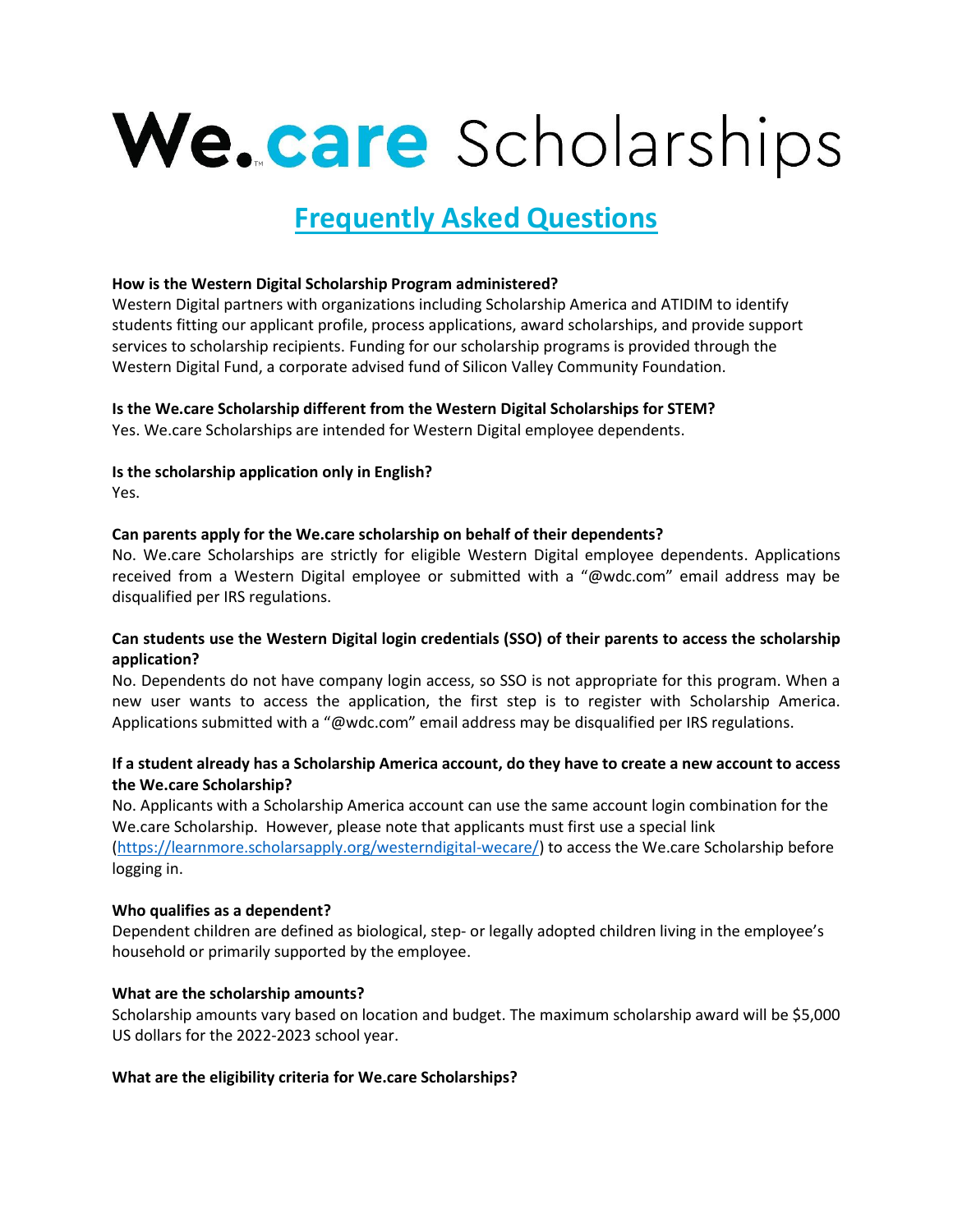# We.care Scholarships

# **Frequently Asked Questions**

# **How is the Western Digital Scholarship Program administered?**

Western Digital partners with organizations including Scholarship America and ATIDIM to identify students fitting our applicant profile, process applications, award scholarships, and provide support services to scholarship recipients. Funding for our scholarship programs is provided through the Western Digital Fund, a corporate advised fund of Silicon Valley Community Foundation.

# **Is the We.care Scholarship different from the Western Digital Scholarships for STEM?**

Yes. We.care Scholarships are intended for Western Digital employee dependents.

# **Is the scholarship application only in English?**

Yes.

# **Can parents apply for the We.care scholarship on behalf of their dependents?**

No. We.care Scholarships are strictly for eligible Western Digital employee dependents. Applications received from a Western Digital employee or submitted with a "@wdc.com" email address may be disqualified per IRS regulations.

# **Can students use the Western Digital login credentials (SSO) of their parents to access the scholarship application?**

No. Dependents do not have company login access, so SSO is not appropriate for this program. When a new user wants to access the application, the first step is to register with Scholarship America. Applications submitted with a "@wdc.com" email address may be disqualified per IRS regulations.

# **If a student already has a Scholarship America account, do they have to create a new account to access the We.care Scholarship?**

No. Applicants with a Scholarship America account can use the same account login combination for the We.care Scholarship. However, please note that applicants must first use a special link [\(https://learnmore.scholarsapply.org/westerndigital-wecare/\)](https://learnmore.scholarsapply.org/westerndigital-wecare/) to access the We.care Scholarship before logging in.

# **Who qualifies as a dependent?**

Dependent children are defined as biological, step- or legally adopted children living in the employee's household or primarily supported by the employee.

# **What are the scholarship amounts?**

Scholarship amounts vary based on location and budget. The maximum scholarship award will be \$5,000 US dollars for the 2022-2023 school year.

# **What are the eligibility criteria for We.care Scholarships?**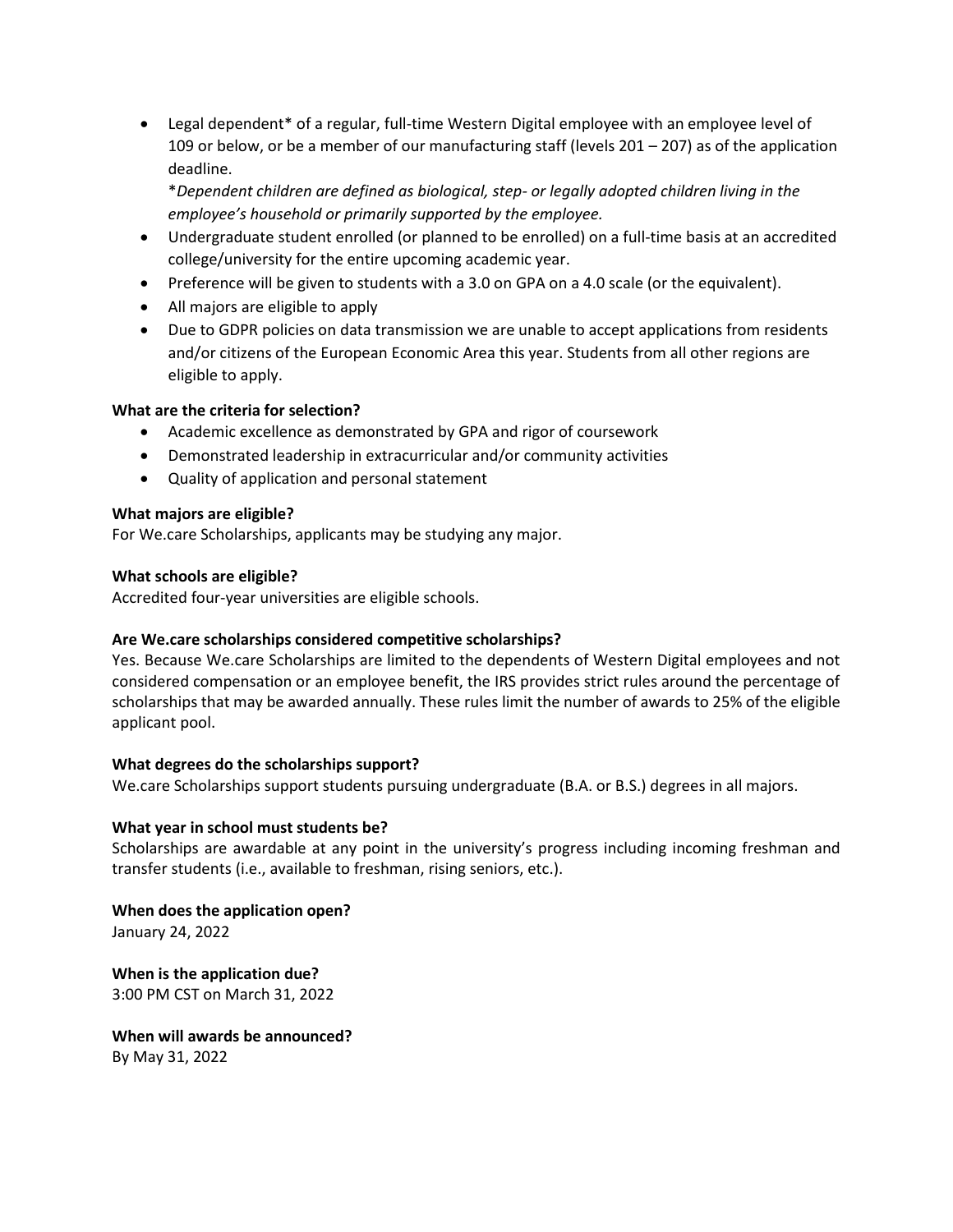• Legal dependent\* of a regular, full-time Western Digital employee with an employee level of 109 or below, or be a member of our manufacturing staff (levels  $201 - 207$ ) as of the application deadline.

\**Dependent children are defined as biological, step- or legally adopted children living in the employee's household or primarily supported by the employee.*

- Undergraduate student enrolled (or planned to be enrolled) on a full-time basis at an accredited college/university for the entire upcoming academic year.
- Preference will be given to students with a 3.0 on GPA on a 4.0 scale (or the equivalent).
- All majors are eligible to apply
- Due to GDPR policies on data transmission we are unable to accept applications from residents and/or citizens of the European Economic Area this year. Students from all other regions are eligible to apply.

# **What are the criteria for selection?**

- Academic excellence as demonstrated by GPA and rigor of coursework
- Demonstrated leadership in extracurricular and/or community activities
- Quality of application and personal statement

#### **What majors are eligible?**

For We.care Scholarships, applicants may be studying any major.

# **What schools are eligible?**

Accredited four-year universities are eligible schools.

# **Are We.care scholarships considered competitive scholarships?**

Yes. Because We.care Scholarships are limited to the dependents of Western Digital employees and not considered compensation or an employee benefit, the IRS provides strict rules around the percentage of scholarships that may be awarded annually. These rules limit the number of awards to 25% of the eligible applicant pool.

# **What degrees do the scholarships support?**

We.care Scholarships support students pursuing undergraduate (B.A. or B.S.) degrees in all majors.

# **What year in school must students be?**

Scholarships are awardable at any point in the university's progress including incoming freshman and transfer students (i.e., available to freshman, rising seniors, etc.).

**When does the application open?** January 24, 2022

**When is the application due?** 3:00 PM CST on March 31, 2022

**When will awards be announced?** By May 31, 2022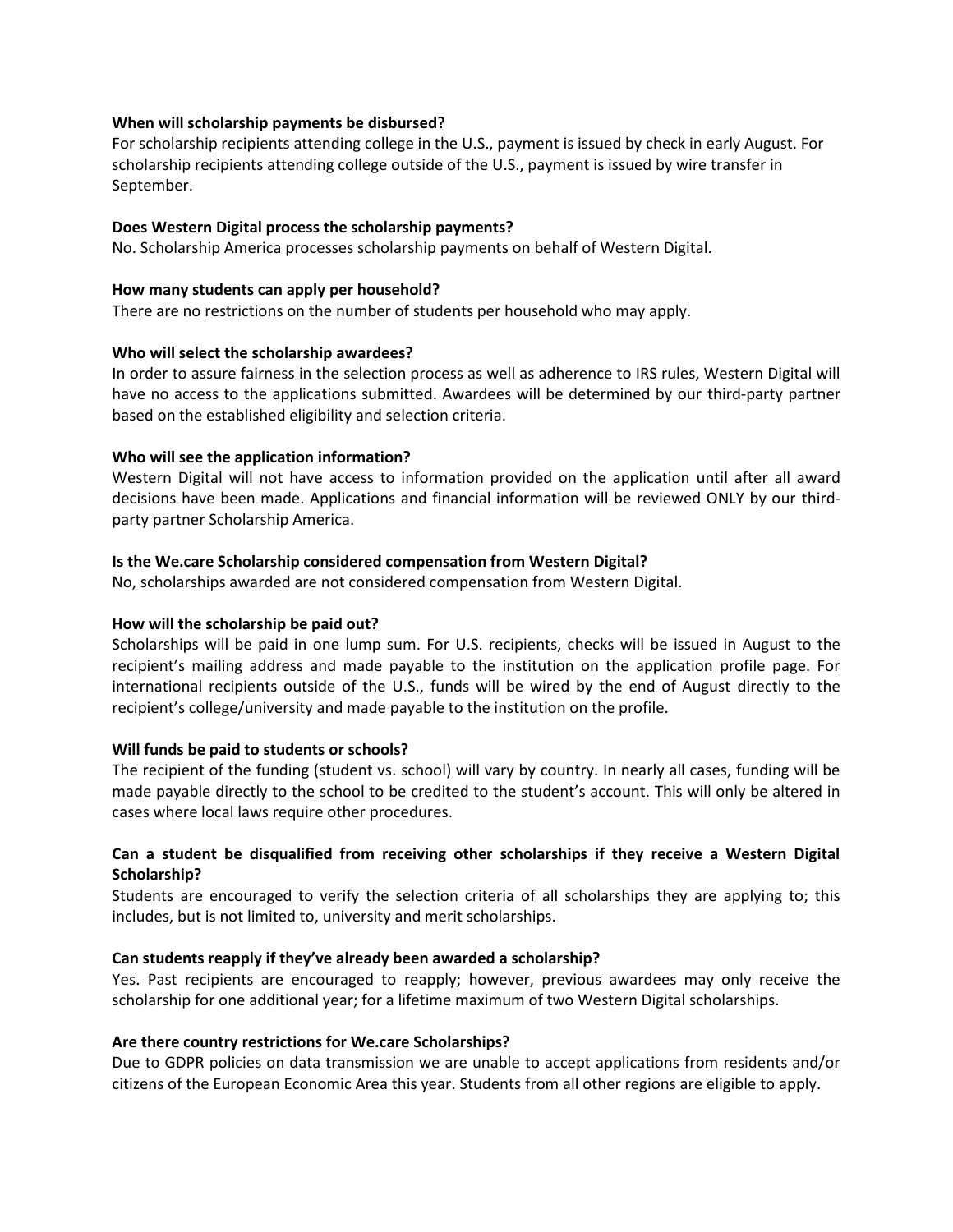#### **When will scholarship payments be disbursed?**

For scholarship recipients attending college in the U.S., payment is issued by check in early August. For scholarship recipients attending college outside of the U.S., payment is issued by wire transfer in September.

#### **Does Western Digital process the scholarship payments?**

No. Scholarship America processes scholarship payments on behalf of Western Digital.

#### **How many students can apply per household?**

There are no restrictions on the number of students per household who may apply.

#### **Who will select the scholarship awardees?**

In order to assure fairness in the selection process as well as adherence to IRS rules, Western Digital will have no access to the applications submitted. Awardees will be determined by our third-party partner based on the established eligibility and selection criteria.

#### **Who will see the application information?**

Western Digital will not have access to information provided on the application until after all award decisions have been made. Applications and financial information will be reviewed ONLY by our thirdparty partner Scholarship America.

#### **Is the We.care Scholarship considered compensation from Western Digital?**

No, scholarships awarded are not considered compensation from Western Digital.

#### **How will the scholarship be paid out?**

Scholarships will be paid in one lump sum. For U.S. recipients, checks will be issued in August to the recipient's mailing address and made payable to the institution on the application profile page. For international recipients outside of the U.S., funds will be wired by the end of August directly to the recipient's college/university and made payable to the institution on the profile.

#### **Will funds be paid to students or schools?**

The recipient of the funding (student vs. school) will vary by country. In nearly all cases, funding will be made payable directly to the school to be credited to the student's account. This will only be altered in cases where local laws require other procedures.

# **Can a student be disqualified from receiving other scholarships if they receive a Western Digital Scholarship?**

Students are encouraged to verify the selection criteria of all scholarships they are applying to; this includes, but is not limited to, university and merit scholarships.

# **Can students reapply if they've already been awarded a scholarship?**

Yes. Past recipients are encouraged to reapply; however, previous awardees may only receive the scholarship for one additional year; for a lifetime maximum of two Western Digital scholarships.

#### **Are there country restrictions for We.care Scholarships?**

Due to GDPR policies on data transmission we are unable to accept applications from residents and/or citizens of the European Economic Area this year. Students from all other regions are eligible to apply.